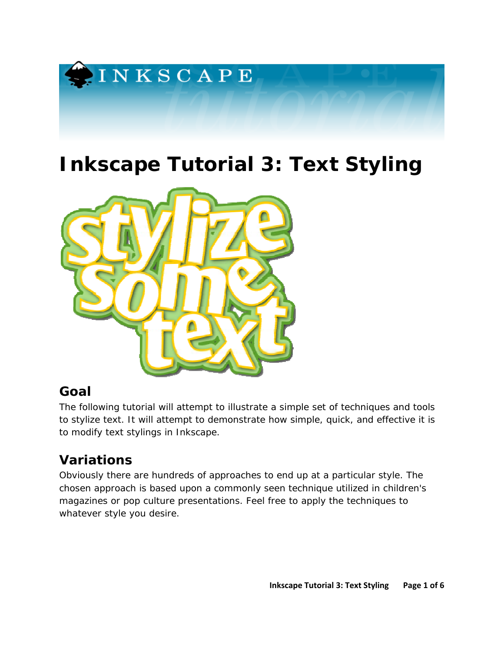

# **Inkscape Tutorial 3: Text Styling**



### **Goal**

The following tutorial will attempt to illustrate a simple set of techniques and tools to stylize text. It will attempt to demonstrate how simple, quick, and effective it is to modify text stylings in Inkscape.

# **Variations**

Obviously there are hundreds of approaches to end up at a particular style. The chosen approach is based upon a commonly seen technique utilized in children's magazines or pop culture presentations. Feel free to apply the techniques to whatever style you desire.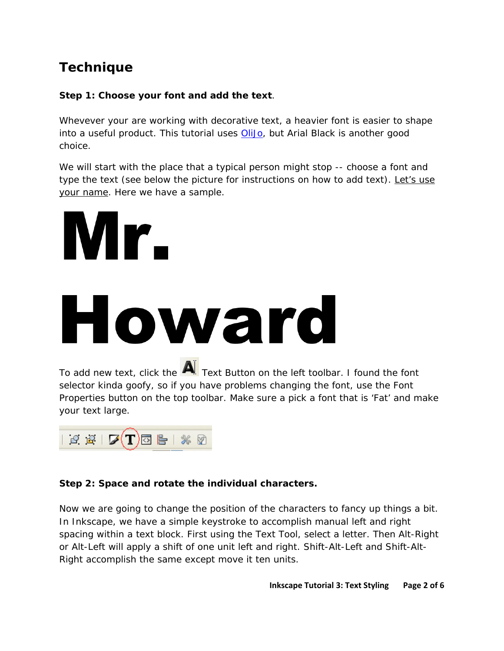### **Technique**

### **Step 1: Choose your font and add the text**.

Whevever your are working with decorative text, a heavier font is easier to shape into a useful product. This tutorial uses OliJo, but Arial Black is another good choice.

We will start with the place that a typical person might stop -- choose a font and type the text (see below the picture for instructions on how to add text). Let's use your name. Here we have a sample.

# Mr.

# Howard

To add new text, click the  $\overline{\mathbf{A}}$  Text Button on the left toolbar. I found the font selector kinda goofy, so if you have problems changing the font, use the Font Properties button on the top toolbar. Make sure a pick a font that is 'Fat' and make your text large.



### **Step 2: Space and rotate the individual characters.**

Now we are going to change the position of the characters to fancy up things a bit. In Inkscape, we have a simple keystroke to accomplish manual left and right spacing within a text block. First using the Text Tool, select a letter. Then *Alt-Right* or *Alt-Left* will apply a shift of one unit left and right. *Shift-Alt-Left* and *Shift-Alt-Right* accomplish the same except move it ten units.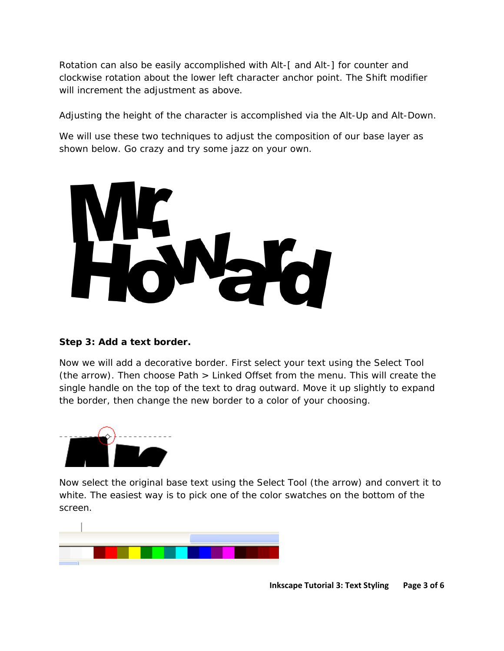Rotation can also be easily accomplished with *Alt-[* and *Alt-]* for counter and clockwise rotation about the lower left character anchor point. The *Shift* modifier will increment the adjustment as above.

Adjusting the height of the character is accomplished via the *Alt-Up* and *Alt-Down*.

We will use these two techniques to adjust the composition of our base layer as shown below. Go crazy and try some jazz on your own.



#### **Step 3: Add a text border.**

Now we will add a decorative border. First select your text using the Select Tool (the arrow). Then choose Path > Linked Offset from the menu. This will create the single handle on the top of the text to drag outward. Move it up slightly to expand the border, then change the new border to a color of your choosing.



Now select the original base text using the Select Tool (the arrow) and convert it to white. The easiest way is to pick one of the color swatches on the bottom of the screen.

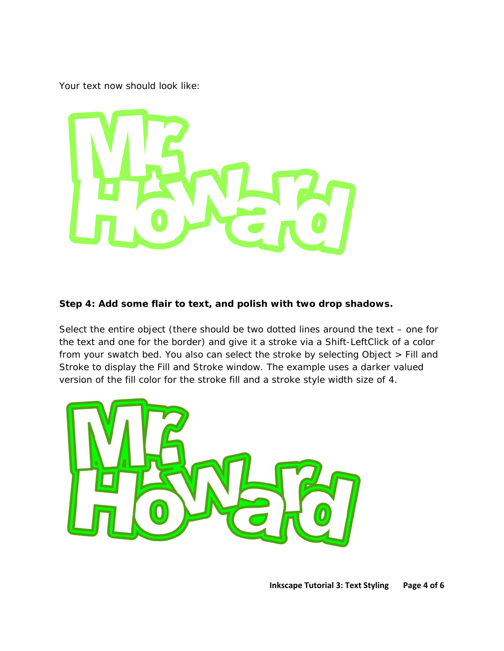Your text now should look like:



#### **Step 4: Add some flair to text, and polish with two drop shadows.**

Select the entire object (there should be two dotted lines around the text – one for the text and one for the border) and give it a stroke via a *Shift-LeftClick* of a color from your swatch bed. You also can select the stroke by selecting Object > Fill and Stroke to display the Fill and Stroke window. The example uses a darker valued version of the fill color for the stroke fill and a stroke style width size of 4.

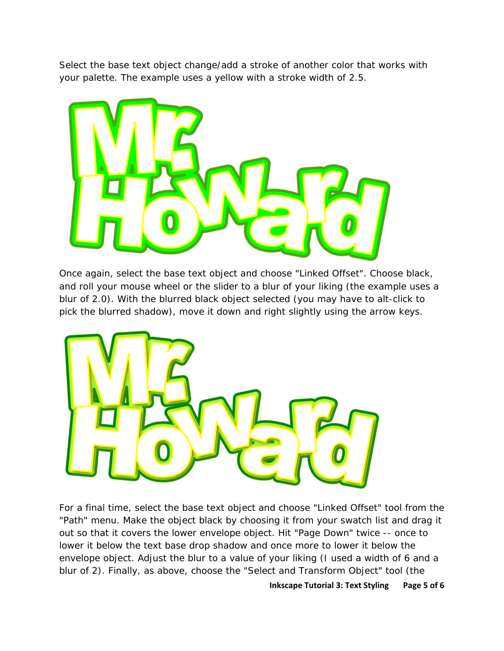Select the base text object change/add a stroke of another color that works with your palette. The example uses a yellow with a stroke width of 2.5.



Once again, select the base text object and choose "Linked Offset". Choose black, and roll your mouse wheel or the slider to a blur of your liking (the example uses a blur of 2.0). With the blurred black object selected (you may have to alt-click to pick the blurred shadow), move it down and right slightly using the arrow keys.



For a final time, select the base text object and choose "Linked Offset" tool from the "Path" menu. Make the object black by choosing it from your swatch list and drag it out so that it covers the lower envelope object. Hit "Page Down" twice -- once to lower it below the text base drop shadow and once more to lower it below the envelope object. Adjust the blur to a value of your liking (I used a width of 6 and a blur of 2). Finally, as above, choose the "Select and Transform Object" tool (the